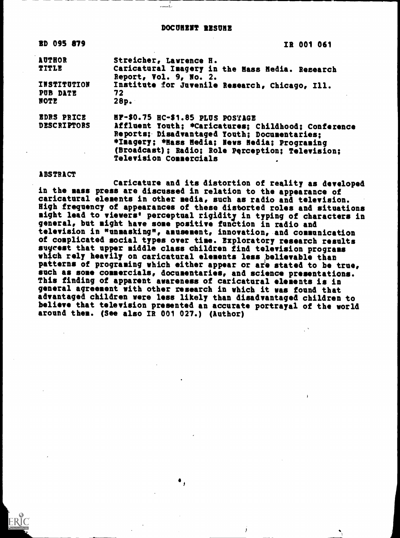#### DOCUMENT RESUME

esamatika

| <b>BD 095 879</b>  | IR 001 061                                                                |
|--------------------|---------------------------------------------------------------------------|
| <b>AUTHOR</b>      | Streicher, Lawrence H.                                                    |
| TITLE              | Caricatural Imagery in the Mass Hedia. Research<br>Report, Vol. 9, No. 2. |
| <b>INSTITUTION</b> | Institute for Juvenile Research, Chicago, Ill.                            |
| PUB DATE           | 72                                                                        |
| NOTE               | 28p.                                                                      |
| <b>EDRS PRICE</b>  | HF-\$0.75 HC-\$1.85 PLUS POSTAGE                                          |
| <b>DESCRIPTORS</b> | Affluent Youth; *Caricatures; Childhood; Conference                       |
|                    | Reports; Disadvantaged Youth; Documentaries;                              |
|                    | *Inagery; *Hass Hedia; News Hedia; Programing                             |
|                    | (Broadcast); Radio; Role Perception; Television;                          |
|                    | <b>Television Connercials</b>                                             |

ABSTRACT

Caricature and its distortion of reality as developed in the mass press are discussed in relation to the appearance of caricatural elements in other media, such as radio and television. High frequency of appearances of these distorted roles and situations might lead to viewers' perceptual rigidity in typing of characters in general, but might have some positive function in radio and television in "unmasking", amusement, innovation, and communication of complicated social types over time. Exploratory research results suyeest that upper middle class children find television programs which rely heavily on caricatural elements less believable than patterns of programing which either appear or are stated to be true, such as some commercials, documentaries, and science presentations. This finding of apparent awareness of caricatural elements is in general agreement with other research in which it was found that advantaged children were less likely than disadvantaged children to believe that television presented an accurate portrayal of the world around them. (See also IR 001 027.) (Author)

 $\bullet$  ,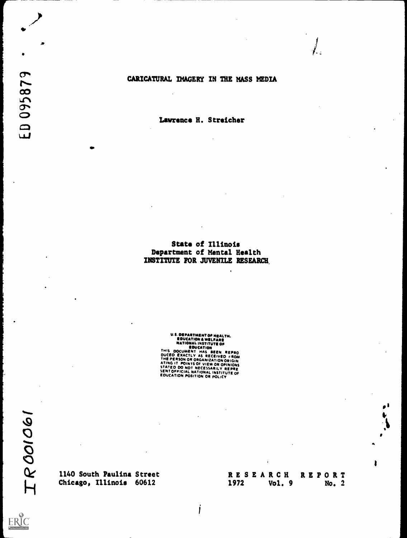#### CARICATURAL IMAGERY IN THE MASS MEDIA

Lawrence R. Streicher

#### State of Illinois Department of Mental Health INSTITUTE FOR JUVENILE RESEARCH,

# **U.S. DEPARTMENT OF HEALTH.<br>
EDUCATION A WELFARE<br>
NATIONAL INSTITUTE OF<br>
EDUCATION<br>
THIS DOCUMENT HAS BEEN REPRO<br>DUCED EXACTLY AS RECEVED FROM<br>THE-PERSON OR ORGANIZATION ORIGIN<br>ATING IT POINTS OF VIEW OR OPINIONS<br>SENTOFFIC**

ERIC

Chicago, Illinois 60612

## 1140 South Paulina Street RESEARCH REPORT<br>
Chicago, Illinois 60612 1972 Vol. 9 No. 2

 $\bigg)$ 

j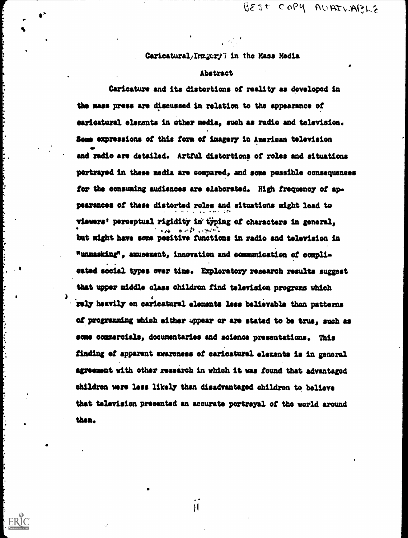$\sqrt{g}$   $\epsilon$   $\sigma$   $\epsilon$   $\sim$   $\sigma$   $\gamma$   $\sim$   $\sigma$   $\sim$   $\epsilon$   $\sim$   $\sqrt{g}$ 

### Caricatural/Inngery' in the Mass Media

#### Abstract

s

Caricature and its distortions of reality as developed in the mass press are discussed in relation to the appearance of caricatural elements in other media, such as radio and television. Some expressions of this form of imagery in American television and radio are detailed. Artful distortions of roles and situations portrayed in these media are compared, and some possible consequences for the consuming audiences are elaborated. High frequency of ap pearances of these distorted roles and situations might lead to , viewers' perceptual rigidity in typing of characters in general,  $\mathbf{r} = \mathbf{r} \cdot \mathbf{r}$  ,  $\mathbf{r} = \mathbf{r} \cdot \mathbf{r} \cdot \mathbf{r}$ but might have some positive functions in radio and television in "unmasking", amusement, innovation and communication of compli-. (sated social types over time. Exploratory research results suggest that upper middle class children find television programs which .rely heavily on caricatural elements less believable than patterns of programming which either appear or are stated to be true, such as some commercials, documentaries and science presentations. This finding of apparent awareness of caricatural elements is in general agreement with other research in which it was found that advantaged children were less likely than disadvantaged children to believe that television presented an accurate portrayal of the world around them.

 $\mathbf{H}$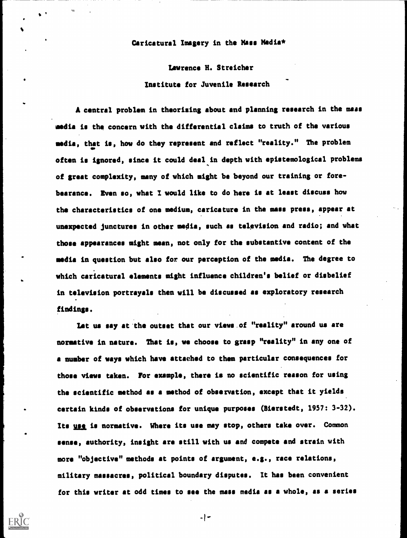#### Caricatural Imagery in the Mass Media\*

Lawrence H. Streicher Institute for Juvenile Research

A central problem in theorising about and planning research in the mass media is the concern with the differential claims to truth of the various media, that is, how do they represent and reflect "reality." The problem often is ignored, since it could deal in depth with epistemological problems of great complexity, many of which might be beyond our training or forebearance. Even so, what I would like to do here is at least discuss how the characteristics of one medium, caricature in the mass press, appear at unexpected junctures in other media, such as television and radio; and what those appearances might mean, not only for the substantive content of the media in question but also for our perception of the media. The degree to which caricatural elements might influence children's belief or disbelief in television portrayals then will be discussed as exploratory research findings.

Let us say at the outset that our views of "reality" around us are normative in nature. That is, we choose to grasp "reality" in any one of a number of ways which have attached to them particular consequences for those views taken. For example, there is no scientific reason for using the scientific method as a method of observation, except that it yields certain kinds of observations for unique purposes (Bierstedt, 1957: 3-32). Its use is normative. Where its use may stop, others take over. Common sense, authority, insight are still with us and compete and strain with more "objective" methods at points of argument, e.g., race relations, military massacres, political boundary disputes. It has been convenient for this writer at odd times to see the mass media as a whole, as a series

 $\vert$   $-$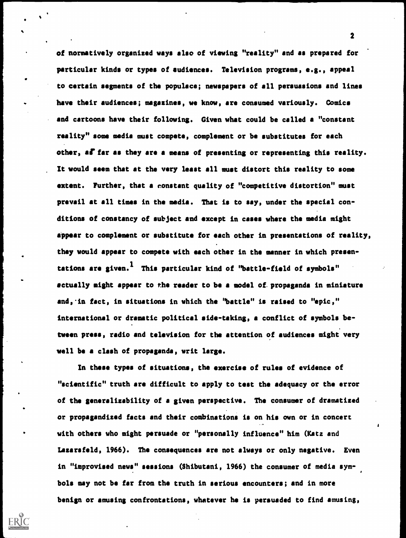of normatively organized ways also of viewing "reality" and as prepared for particular kinds or types of audiences. Television programs, e.g., appeal to certain segments of the populace; newspapers of all persuasions and lines have their audiences; magazines, we know, are consumed variously. Comics and cartoons have their following. Given what could be called a "constant reality" some media must compete, complement or be substitutes for each other, as far as they are a means of presenting or representing this reality. It would seem that at the very least all must distort this reality to some extent. Further, that a constant quality of "competitive distortion" must prevail at all times in the media. That is to say, under the special conditions of constancy of subject and except in cases where the media might appear to complement or substitute for each other in presentations of reality, they would appear to compete with each other in the manner in which presentations are given.<sup>1</sup> This particular kind of "battle-field of symbols" actually might appear to the reader to be a model of. propaganda in miniature and, in fact, in situations in which the "battle" is raised to "epic," international or dramatic political side-taking, a conflict of symbols between press, radio and television for the attention of audiences might very well be a clash of propaganda, writ large.

In these types of situations, the exercise of rules of evidence of "scientific" truth are difficult to apply to test the adequacy or the error of the generalizability of a given perspective. The consumer of dramatized or propagandized facts and their combinations is on his own or in concert with others who might persuade or "personally influence" him (Katz and Lazarsfeld, 1966). The consequences are not always or only negative. Even in "improvised news" sessions (Shibutani, 1966) the consumer of media symbols may not be far from the truth in serious encounters; and in more benign or amusing confrontations, whatever he is persuaded to find amusing,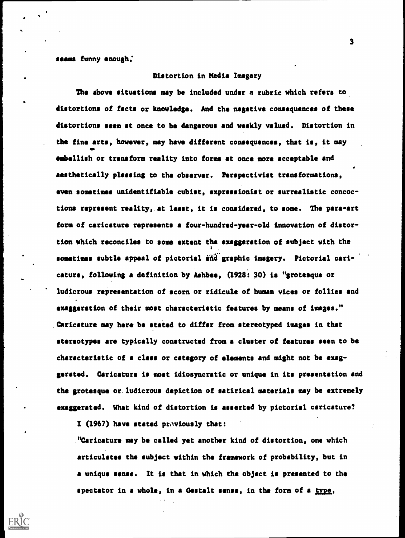seems funny enough.

#### Distortion in Media Imagery

The above situations may be included under a rubric which refers to distortions of facts or knowledge. And the negative consequences of these distortions seem at once to be dangerous and weakly valued. Distortion in the fine arts, however, may have different consequences, that is, it may embellish or transform reality into forms at once more acceptable and aesthetically pleasing to the observer. Perspectivist transformations, even sometimes unidentifiable cubist, expressionist or surrealistic concoctions represent reality,.at least, it is considered, to some. The para-art form of caricature represents a four-hundred-year-old innovation of distortion which reconciles to some extent the exaggeration of subject with the sometimes subtle appeal of pictorial and graphic imagery. Pictorial caricature, following a definition by Ashbee, (1928: 30) is "grotesque or ludicrous representation of scorn or ridicule of human vices or follies and exaggeration of their most characteristic features by means of images." .Caricature may here be stated to differ from stereotyped images in that stereotypes are typically constructed from a cluster of features seen to be characteristic of a class or category of elements and might not be exaggerated. Caricature is most idiosyncratic or unique in its presentation and the grotesque or. ludicrous depiction of satirical materials may be extremely exaggerated. What kind of distortion is asserted by pictorial caricature?

I (1967) have stated previously that:

. "Caricature may be called yet another kind of distortion, one which articulates the subject within the framework of probability, but in a unique sense. It is that in which the object is presented to the spectator in a whole, in a Gestalt sense, in the form of a type,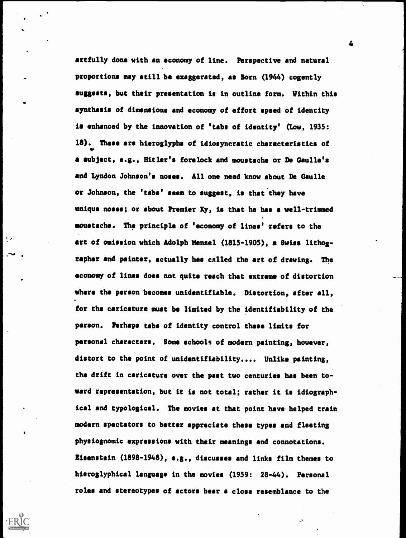artfully done with an economy of line. Perspective and natural proportions may still be exaggerated, as Born (1944) cogently suggests, but their presentation is in outline form. Within this synthesis of dimensions and economy of effort speed of identity .is enhanced by the innovation of 'tabs of identity' (Low, 1935: 18). These are hieroglyphs of idiosyncratic characteristics of a subject, e.g., Hitler's forelock and moustache or De Gaulle's and Lyndon Johnson's noses. All one need know about De Gaulle or Johnson, the 'tabs' seem to suggest, is that they have unique noses; or about Premier Ky, is that he has a well-trimmed moustache. The principle of 'economy of lines' refers to the art of omission which Adolph Menzel (1815-1905), a Swiss lithographer and painter, actually has called the art of drawing. The economy of lines does not quite reach that extreme of distortion where the person becomes unidentifiable. Distortion, after all, for the caricature must be limited by the identifiability of the person. Perhaps tabs of identity control these limits for personal characters. Some schools of modern painting, however, distort to the point of unidentifiability.... Unlike painting, the drift in caricature over the past two centuries has been toward representation, but it is not total; rather it is idiographical and typological. The movies at that point have helped train modern spectators to better appreciate these types and fleeting physiognomic expressions with their meanings and connotations. lisenstein (1898-1948), e.g., discusses and links film themes to hieroglyphical language in the movies (1959: 28-44). Personal roles and stereotypes of actors bear a close resemblance to the

 $\mathbf{r}_\mathrm{c}$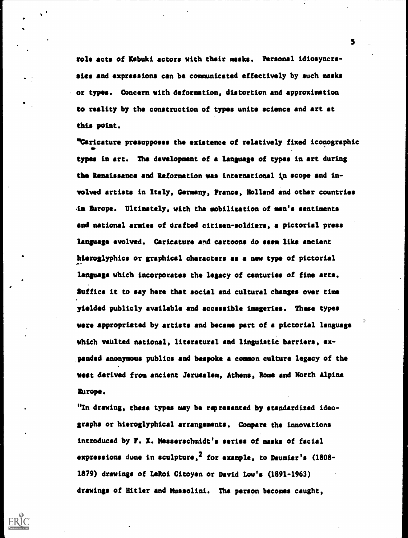role acts of Xabuki actors with their masks. Personal idiosyncrasies and expressions can be communicated effectively by such masks or types. Concern with deformation, distortion and approximation to reality by the construction of types unite science and art at this point.

"Caricature presupposes the existence of relatively fixed iconographic types in art. The development of a language of types in art during the Renaissance and Reformation was international in scope and involved artists in Italy, Germany, France, Holland and other countries Lit Europe. Ultimately, with the mobilization of man's sentiments and national armies of drafted citizen-soldiers, a pictorial press language evolved. Caricature and cartoons do seem like ancient hieroglyphics or graphical characters as a new type of pictorial language which incorporates the legacy of centuries of fine arts. Suffice it to say here that social and cultural changes over time yielded publicly available and accessible imageries. These types were appropriated by artists and became part of a pictorial language which vaulted national, literatural and linguistic barriers, expanded anonymous publics and bespoke a common culture legacy of the west derived from ancient Jerusalem, Athens, Rome and North Alpine Europe.

"In drawing, these types may be represented by standardized ideographs or hieroglyphical arrangements. Compare the innovations introduced by F. X. Messerschmidt's series of masks of facial expressions done in sculpture,<sup>2</sup> for example, to Daumier's (1808-1879) drawings of LeRoi Citoyen or David Low's (1891-1963) drawings of Hitler and Mussolini. The person becomes caught,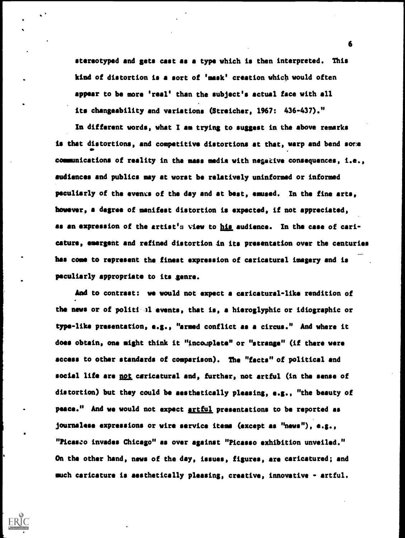stereotyped and gets cast as a type which is then interpreted. This kind of distortion is a sort of 'mask' creation which would often appear to be more 'real' than the subject's actual face with all its changeability and variations (Streicher, 1967: 436-437)."

In different words, what I am trying to suggest in the above remarks is that distortions, and competitive distortions at that, warp and bend sore communications of reality in the mass media with negative consequences, i.e., audiences and publics may at worst be relatively uninformed or informed peculiarly of the events of the day and at best, amused. In the fine arts, however, a degree of manifest distortion is expected, if not appreciated, as an expression of the artist's view to his audience. In the case of caricature, emergent and refined distortion in its presentation over the centuries has come to represent the finest expression of caricatural imagery and is peculiarly appropriate to its scare.

And to contrast: we would not expect a caricatural-like rendition of the news or of politi 11 events, that is, a hieroglyphic or idiographic or type -like presentation, e.g., "armed conflict as a circus." And where it does obtain, one might think it "incomplete" or "strange" (if there were access to other standards of comparison). The "facts" of political and social life are not caricatural and, further, not artful (in the sense of distortion) but they could be aesthetically pleasing, e.g., "the beauty of peace." And we would not expect **artful** presentations to be reported as journalese expressions or wire service items (except as "news"), e.g., " Picasso invades Chicago" as over against "Picasso exhibition unveiled." On the other hand, news of the day, issues, figures, are caricatured; and much caricature is aesthetically pleasing, creative, innovative - artful.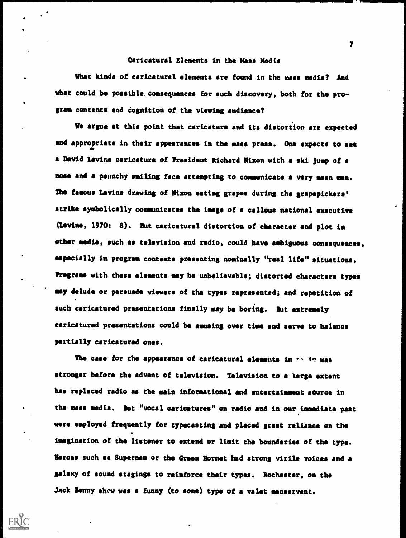#### Caricatural Elements in the Mass Media

What kinds of caricatural elements are found in the mass media? And what could be possible consequences for such discovery, both for the program contents and cognition of the viewing audience?

We argue at this point that caricature and its distortion are expected and appropriate in their appearances in the mass press. One expects to see a David Levine caricature of President Richard Nixon with a ski jump of a nose and a paunchy smiling face attempting to communicate a very mean man. The famous Levine drawing of Nixon eating grapes during the grapepickers' strike symbolically communicates the image of a callous national executive (Levine, 1970: 8). But caricatural distortion of character and plot in other media, such as television and radio, could have ambiguous consequences, especially in program contexts presenting nominally "real life" situations. Programs with these elements may be unbelievable; distorted characters types may delude or persuade viewers of the types represented; and repetition of such caricatured presentations finally may be boring. But extremely caricatured presentations could be amusing over time and serve to balance partially caricatured ones.

The case for the appearance of caricatural elements in  $r > 16$  was stronger before the advent of television. Television to a large extent has replaced radio as the main informational and entertainment source in the mass media. But "vocal caricatures" on radio and in our immediate past were employed frequently for typecasting and placed great reliance on the imagination of the listener to extend or limit the boundaries of the type. Heroes such as Superman or the Green Hornet had strong virile voices and a galaxy of sound stagings to reinforce their types. Rochester, on the Jack Benny show was a funny (to some) type of a valet manservant.

 $\mathbf{r}$  and  $\mathbf{r}$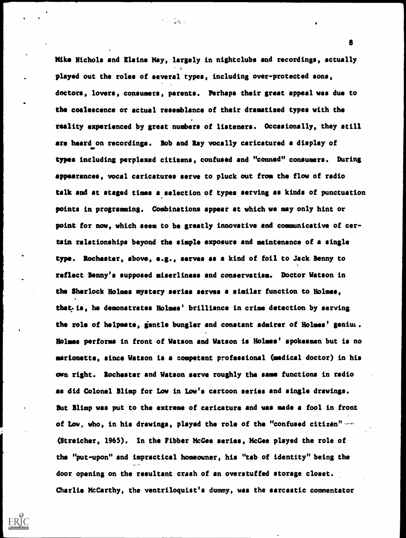Mike Nichols and Elaine May, largely in nightclubs and recordings, actually played out the roles of several types, including over-protected sons, doctors, lovers, consumers, parents. Perhaps their great appeal was due to the coalescence or actual resemblance of their dramatized types with the reality experienced by great numbers of listeners. Occasionally, they still are heard on recordings. Bob and Ray vocally caricatured a display of types including perplexed citizens, confused and "conned" consumers. During appearances, vocal caricatures serve to pluck out from the flow of radio talk and at staged times a selection of types serving as kinds of punctuation points in programming. Combinations appear at which we may only hint or point for now, which seem to be greatly innovative and communicative of certain relationships beyond the simple exposure and maintenance of a single type. Rochester, above, e.g., serves as a kind of foil to Jack Benny to reflect Benny's supposed miserliness and conservatism. Doctor Watson in the Sherlock Holmes mystery series serves a similar function to Holmes, that, is, he demonstrates Holmes' brilliance in crime detection by serving the role of helpmate, gentle bungler and constant admirer of Holmes' genius. Holmes performs in front of Watson and Watson is Holmes' spokesman but is no marionette, since Watson is a competent professional (medical doctor) in his own right. Rochester and Watson serve roughly the same functions in radio as did Colonel Blimp for Low in Low's cartoon series and single drawings. But Blimp was put to the extreme of caricature and was made a fool in front of Low, who, in his drawings, played the role of the "confused citizen" (Streicher, 1965). In the Fibber McGee series, McGee played the role of the "put-upon" and impractical homeowner, his "tab of identity" being the door opening on the resultant crash of an overstuffed storage closet. Charlie McCarthy, the ventriloquist's dummy, was the sarcastic commentator

Тя.,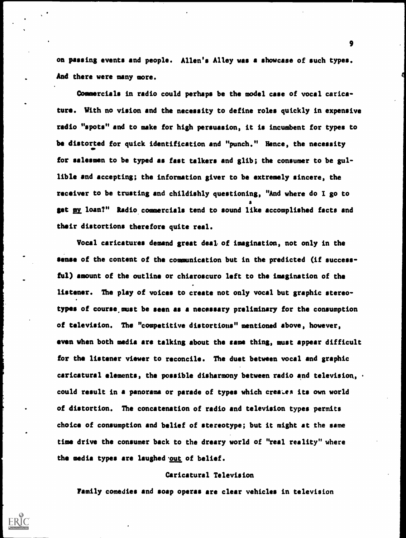on passing events and people. Allen's Alley was a showcase of such types. And there were many more.

Commercials in radio could perhaps be the model case of vocal caricature. With no vision and the necessity to define roles quickly in expensive radio "spots" and to make for high persuasion, it is incumbent for types to be distorted for quick identification and "punch." Hence, the necessity for salesmen to be typed as fast talkers and glib; the consumer to be gullible and accepting; the information giver to be extremely sincere, the receiver to be trusting and childishly questioning, "And where do I go to get my loan?" Radio commercials tend to sound like accomplished facts and their distortions therefore quite real.

Vocal caricatures demand great deal of imagination, not only in the sense of the content of the communication but in the predicted (if successful) amount of the outline or chiaroscuro left to the imagination of the listener. The play of voices to create not only vocal but graphic stereotypes of course must be seen as a necessary preliminary for the consumption of television. The "competitive distortions" mentioned above, however, even when both media are talking about the same thing, must appear difficult for the listener viewer to reconcile. The duet between vocal and graphic caricatural elements, the possible disharmony between radio and television, could result in a panorama or parade of types which creates its own world of distortion. The concatenation of radio and television types permits choice of consumption and belief of stereotype; but it might at the same time drive the consumer back to the dreary world of "real reality" where the media types are laughed out of belief.

#### Caricatural Television

Family comedies and soap operas are clear vehicles in television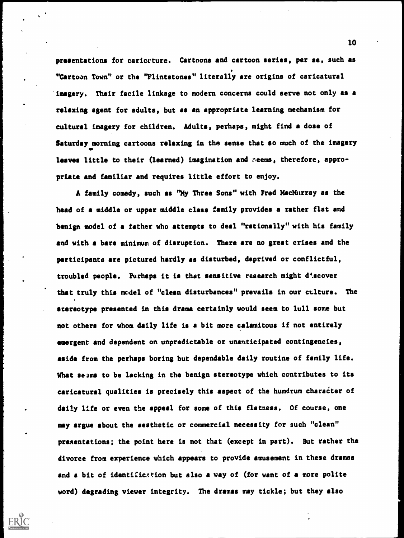presentations for caricature. Cartoons and cartoon series, per se, such as "Cartoon Town" or the "Flintstones" literally are origins of caricatural imagery. Their facile linkage to modern concerns could serve not only as a relaxing agent for adults, but as an appropriate learning mechanism for cultural imagery for children. Adults, perhaps, might find a dose of Saturday morning cartoons relaxing in the sense that so much of the imagery leaves little to their (learned) imagination and seems, therefore, appropriate and familiar and requires little effort to enjoy.

A family comedy, such as "My Three Sons" with Fred MacMurray as the head of a middle or upper middle class family provides a rather flat and benign model of a father who attempts to deal "rationally" with his family and with a bare minimum of disruption. There are no great crises and the participants are pictured hardly as disturbed, deprived or conflictful, troubled people. Perhaps it is that sensitive research might d'scover that truly this model of "clean disturbances" prevails in our culture. The stereotype presented in this drama certainly would seem to lull some but not others for whom daily life is a bit more calamitous if not entirely emergent and dependent on unpredictable or unanticipated contingencies, aside from the perhaps boring but dependable daily routine of family life. What seems to be lacking in the benign stereotype which contributes to its caricatural qualities is precisely this aspect of the humdrum character of daily life or even the appeal for some of this flatness. Of course, one may argue about the aesthetic or commercial necessity for such "clean" presentations; the point here is not that (except in part). But rather the divorce from experience which appears to provide amusement in these dramas and a bit of identification but also a way of (for want of a more polite word) degrading viewer integrity. The dramas may tickle; but they also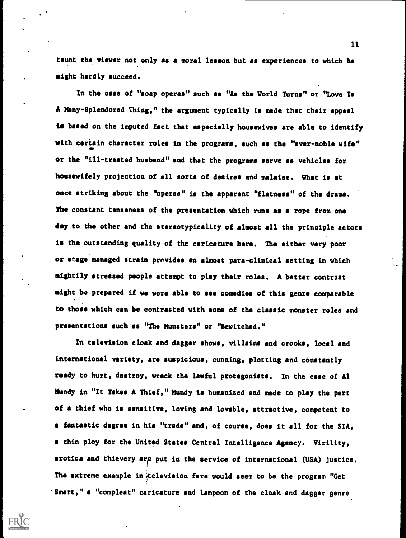taunt the viewer not only as a moral lesson but as experiences to which he might hardly succeed.

In the case of "soap operas" such as "As the World Turns" or "Love Is A Many-Splendored Thing," the argument typically is made that their appeal is based on the imputed fact that especially housewives are able to identify with certain character roles in the programs, such as the "ever-noble wife" or the "ill-treated husband" and that the programs serve as vehicles for housewifely projection of all sorts of desires and malaise. What is at once striking about the "operas" is the apparent "flatness" of the drama. The constant tenseness of the presentation which runs as a rope from one day to the other and the stereotypicality of almost all the principle actors is the outstanding quality of the caricature here. The either very poor or stage managed strain provides an almost para-clinical setting in which mightily stressed people attempt to play their roles. A better contrast might be prepared if we were able to see comedies of this genre comparable to those which can be contrasted with some of the classic monster roles and presentations such 'as "The Munsters" or "Bewitched."

In television cloak and dagger shows, villains and crooks, local and international variety, are suspicious, cunning, plotting and constantly ready to hurt, destroy, wreck the lawful protagonists. In the case of Al Mundy in "It Takes A Thief," Mundy is humanized and made to play the part of a thief who is sensitive, loving and lovable, attractive, competent to a fantastic degree in his "trade" and, of course, does it all for the SIA, a thin ploy for the United States Central Intelligence Agency. Virility, erotica and thievery are put in the service of international (USA) justice. The extreme example in television fare would seem to be the program "Get Smart," a "compleat" caricature and lampoon of the cloak and dagger genre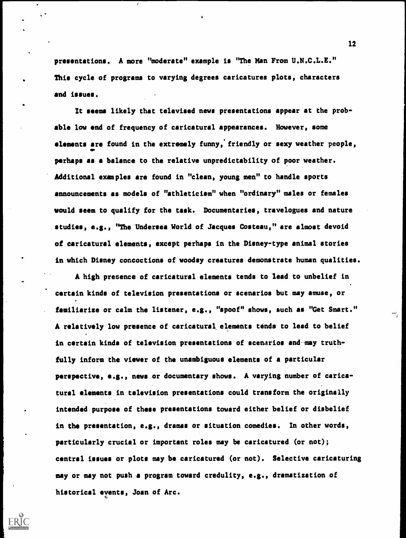presentations. A more "moderate" example is "The Man From U.N.C.L.E." This cycle of programs to varying degrees caricatures plots, characters and issues.

It seems likely that televised news presentations appear at the probable low end of frequency of caricatural appearances. However, some elements are found in the extremely funny, friendly or sexy weather people, perhaps as a balance to the relative unpredictability of poor weather. Additional examples are found in "clean, young men" to handle sports announcements as models of "athleticism" when "ordinary" males or females would seem to qualify for the task. Documentaries, travelogues and nature studies, e.g., "The'Undersea World of Jacques Costeau," are almost devoid of caricatural elements, except perhaps in the Disney-type animal stories in which Disney concoctions of woodsy creatures demonstrate human qualities.

A high presence of caricatural elements tends to lead to unbelief in certain kinds of television presentations or scenarios but may amuse, or familiarize or calm the listener, e.g., "spoof" shows, such as "Get Smart." A relatively low presence of caricatura1 elements tends to lead to belief in certain kinds of television presentations of scenarios andmay truthfully inform the viewer of the unambiguous elements of a particular perspective, e.g., news or documentary shows. A varying number of caricatural elements in television presentations could transform the originally intended purpose of these presentations toward either belief or disbelief in the presentation, e.g., dramas or situation comedies. In other words, particularly crucial or important roles may be caricatured (or not); central issues or plots may be caricatured (or not). Selective caricaturing may or may not push a program toward credulity, e.g., dramatization of historical events, Joan of Arc.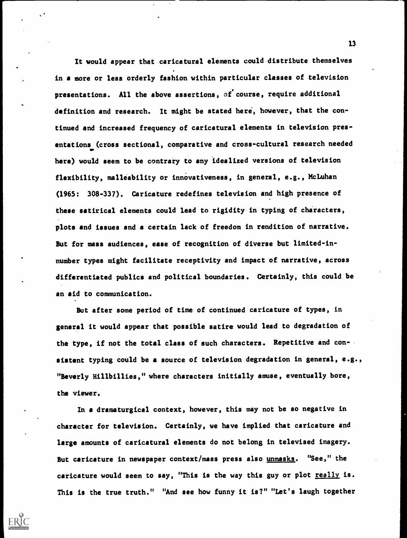It would appear that caricatural elements could distribute themselves in a more or less orderly fashion within particular classes of television presentations. All the above assertions, of course, require additional definition and research. It might be stated here, however, that the continued and increased frequency of caricatural elements in television presentations (cross sectional, comparative and cross-cultural research needed here) would seem to be contrary to any 'idealized versions of television flexibility, malleability or innovativeness, in general, e.g., McLuhan (1965: 308-337). Caricature redefines television and high presence of these satirical elements could lead to rigidity in typing of characters, plots and issues and a certain lack of freedom in rendition of narrative. But for mass audiences, ease of recognition of diverse but limited-innumber types might facilitate receptivity and impact of narrative, across differentiated publics and political boundaries. Certainly, this could be an aid to communication.

But after some period of time of continued caricature of types, in general it would appear that possible satire would lead to degradation of the type, if not the total class of such characters. Repetitive and consistent typing could be a source of television degradation in general, e.g., "Beverly Hillbillies," where characters initially amuse, eventually bore, the viewer.

In a dramaturgical context, however, this may not be so negative in character for television. Certainly, we have implied that caricature and large amounts of caricatural elements do not belong in televised imagery. But caricature in newspaper context/mass press also unmasks. "See," the caricature would seem to say, "This is the way this guy or plot really is. This is the true truth." "And see how funny it is?" "Let's laugh together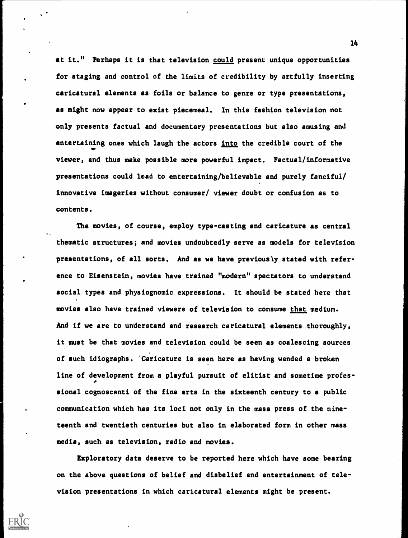at it." Perhaps it is that television could present unique opportunities for staging and control of the limits of credibility by artfully inserting caricatural elements as foils or balance to genre or type presentations, as might now appear to exist piecemeal. In this fashion television not only presents factual and documentary presentations but also amusing and entertaining ones which laugh the actors into the credible court of the AID viewer, and thus make possible more powerful impact. Factual/informative presentations could lead to entertaining/believable and purely fanciful/ innovative imageries without consumer/ viewer doubt or confusion as to contents.

The movies, of course, employ type-casting and caricature as central thematic structures; and movies undoubtedly serve as models for television presentations, of all sorts. And as we have previously stated with reference to Eisenstein, movies have trained "modern" spectators to understand social types and physiognomic expressions. It should be stated here that movies also have trained viewers of television to consume that medium. And if we are to understand and research caricatural elements thoroughly, it must be that movies and television could be seen as coalescing sources of such idiographs. 'Caricature is seen here as having wended a broken line of development from a playful pursuit of elitist and sometime profes-  $\mathbf{r}$ sional cognoscenti of the fine arts in the sixteenth century to a public communication which has its loci not only in the mass press of the nineteenth and twentieth centuries but also in elaborated form in other mass media, such as television, radio and movies.

Exploratory data deserve to be reported here which have some bearing on the above questions of belief and disbelief and entertainment of television presentations in which caricatural elements might be present.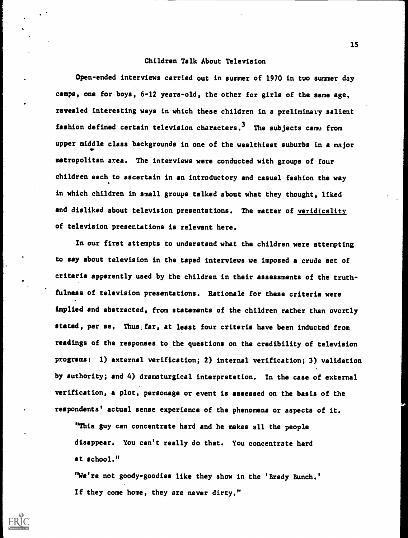#### Children Talk About Television

Open-ended interviews carried out in summer of 1970 in two summer day camps, one for boys, 6-12 years-old, the other for girls of the same age, revealed interesting ways in which these children in a preliminary salient fashion defined certain television characters.<sup>3</sup> The subjects came from upper middle class backgrounds in one of the wealthiest suburbs in a major metropolitan area. The interviews were conducted with groups of four . children each to ascertain in an introductory and casual fashion the way in which children in small groups talked about what they thought, liked and disliked about television presentations. The matter of veridicality of television presentations is relevant here.

In our first attempts to understand what the children were attempting to say about television in the taped interviews we imposed a crude set of criteria apparently used by the children in their assessments of the truth- . fulness of television presentations. Rationale for these criteria were implied and abstracted, from statements of the children rather than overtly stated, per se, Thus, far, at least four criteria have been inducted from readings of the responses to the questions on the credibility of television programs: 1) external verification; 2) internal verification; 3) validation by authority; and 4) dramaturgical interpretation. In the case of external verification, a plot, personage or event is assessed on the basis of the respondents' actual sense experience of the phenomena or aspects of it.

"This guy can concentrate hard and he makes all the people disappear. You can't really do that. You concentrate hard at school."

"We're not goody-goodies like they show in the 'Brady Bunch.' If they come home, they are never dirty."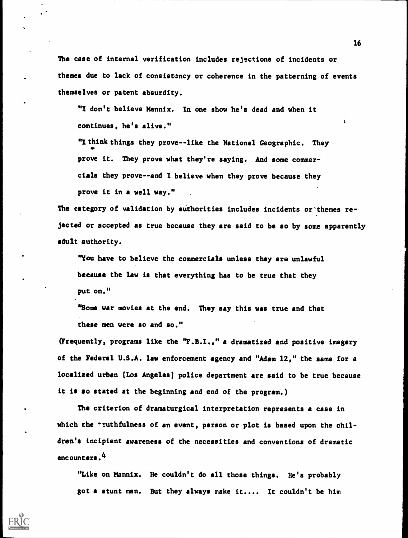The case of internal verification includes rejections of incidents or themes due to lack of consistency or coherence in the patterning of events themselves or patent absurdity.

"I don't believe Mannix. In one show he's dead and when it continues, he's alive."

"I think things they prove--like the National Geographic. They prove it. They prove what they're saying. And some commercials they prove--and I believe when they prove because they prove it in a well way."

The category of validation by authorities includes incidents or'themes rejected or accepted as true because they are said to be so by some apparently adult authority.

"You have to believe the commercials unless they are unlawful because the law is that everything has to be true that they put on."

"Some war movies at the end. They say this was true and that these men were so and so,"

(Frequently, programs like the "F.B.I.," a dramatized and positive imagery of the Federal U.S.A. law enforcement agency and "Adam 12," the same for a localized urban [Los Angeles] police department are said to be true because it is so stated at the beginning and end of the program.)

The criterion of dramaturgical interpretation represents a case in which the \*ruthfulness of an event, person or plot is based upon the children's incipient awareness of the necessities and conventions of dramatic encounters.4

"Like on Mannix. He couldn't do all those things. He's probably got a stunt man. But they always make it.... It couldn't be him

 $\mathbf{r}$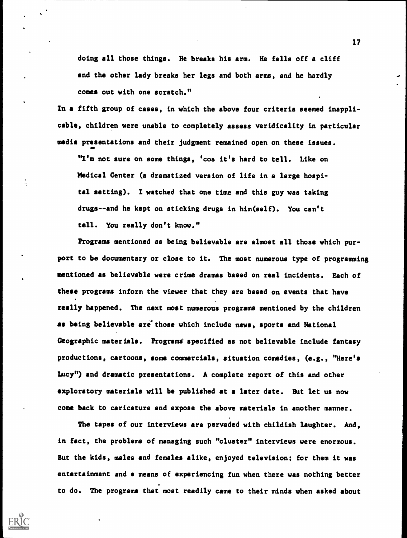doing all those things. He breaks his arm. He falls off a cliff and the other lady breaks her legs and both arms, and he hardly comes out with one scratch."

In a fifth group of cases, in which the above four criteria seemed inapplicable, children were unable to completely assess veridicality in particular media presentations and their judgment remained open on these issues.

"I'm not sure on some things, 'cos it's hard to tell. Like on Medical Center (a dramatized version of life in a large hospital setting). I watched that one time and this guy was taking drugs--and he kept on sticking drugs in him(self). You can't tell. You really don't know. ".

Programs mentioned as being believable are almost all those which purport to be documentary or close to it. The most numerous type of programming mentioned as believable were crime dramas based on real incidents. Each of these programs inform the viewer that they are based on events that have really happened. The next most numerous programs mentioned by the children as being believable are those which include news, sports and National Geographic materials. Programs specified as not believable include fantasy productions, cartoons, some commercials, situation comedies, (e.g., "Here's Lucy") and dramatic presentations. A complete report of this and other exploratory materials will be published at a later date. But let us now come back to caricature and expose the above materials in another manner.

The tapes of our interviews are pervaded with childish laughter. And, in fact, the problems of managing such "cluster" interviews were enormous. But the kids, males and females alike, enjoyed television; for them it was entertainment and a means of experiencing fun when there was nothing better to do. The programs that most readily came to their minds when asked about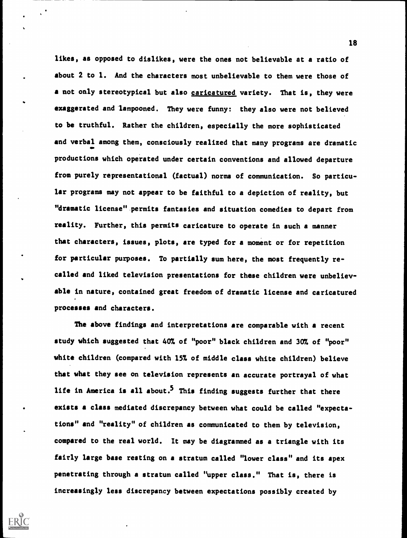likes, as opposed to dislikes, were the ones not believable at a ratio of about 2 to 1. And the characters most unbelievable to them were those of a not only stereotypical but also caricatured variety. That is, they were exaggerated and lampooned. They were funny: they also were not believed to be truthful. Rather the children, especially the more sophisticated and verbal among them, consciously realized that many programs are dramatic productions which operated under certain conventions and allowed departure from purely representational (factual) norms of communication. So particular programs may not appear to be faithful to a depiction of reality, but "dramatic license".permits fantasies and situation comedies to depart from reality. Further, this permits caricature to operate in such a manner that characters, issues, plots, are typed for a moment or for repetition for particular purposes. To partially sum here, the most frequently recalled and liked television presentations for these children were unbelievable in nature, contained great freedom of dramatic license and caricatured processes and characters.

The above findings and interpretations are comparable with a recent study which suggested that 407. of "poor" black children and 307. of "poor" white children (compared with 15% of middle class white children) believe that what they see on television represents an accurate portrayal of what life in America is all about.<sup>5</sup> This finding suggests further that there exists a class mediated discrepancy between what could be called "expectations" and "reality" of children as communicated to them by television, compared to the real world. It may be diagrammed as a triangle with its fairly large base resting on a stratum called "lower class" and its apex penetrating through a stratum called "upper class." That is, there is increasingly less discrepancy between expectations possibly created by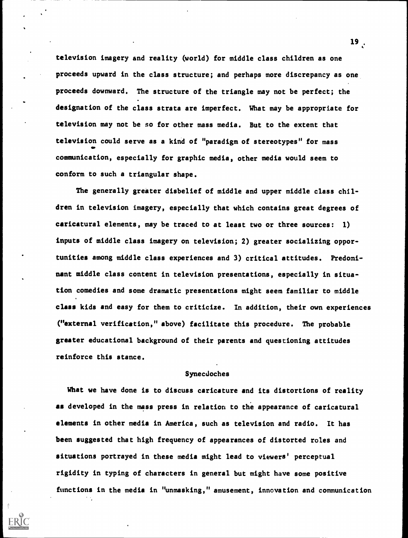television imagery and reality (world) for middle class children as one proceeds upward in the class structure; and perhaps more discrepancy as one proceeds downward. The structure of the triangle may not be perfect; the designation of the class strata are imperfect. What may be appropriate for television may not be so for other mass media. But to the extent that television could serve as a kind of "paradigm of stereotypes" for mass communication, especially for graphic media, other media would seem to conform to such a triangular shape.

The generally greater disbelief of middle and upper middle class children in television imagery, especially that which contains great degrees of caricatural elements, may be traced to at least two or three sources: 1) inputs of middle class imagery on television; 2) greater socializing opportunities among middle class experiences and 3) critical attitudes. Predominant middle class content in television presentations, especially in situation comedies and some dramatic presentations might seem familiar to middle class kids and easy for them to criticize. In addition, their own experiences ("external verification," above) facilitate this procedure. The probable greater educational background of their parents and questioning attitudes reinforce this stance.

#### Synecdoches

What we have done is to discuss caricature and its distortions of reality as developed in the mass press in relation to the appearance of caricatural elements in other media in America, such as television and radio. It has been suggested that high frequency of appearances of distorted roles and situations portrayed in these media might lead to viewers' perceptual rigidity in typing of characters in general but might have some positive functions in the media in "unmasking," amusement, innovation and communication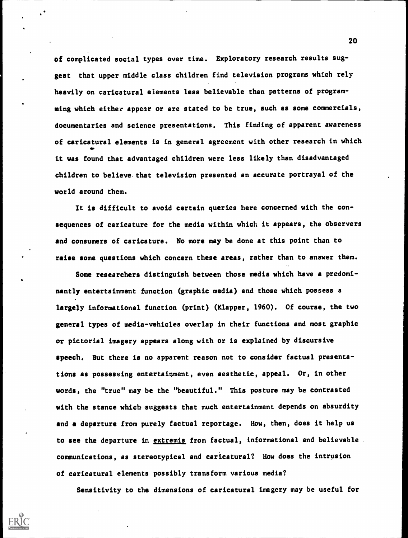of complicated social types over time. Exploratory research results suggest that upper middle class children find television programs which rely heavily on caricatural elements less believable than patterns of programming which either appear or are stated to be true, such as some commercials, documentaries and science presentations. This finding of apparent awareness of caricatural elements is in general agreement with other research in which it was found that advantaged children were less likely than disadvantaged children to believe, that television presented an accurate portrayal of the world around them.

It is difficult to avoid certain queries here concerned with the consequences of caricature for the media within which it appears, the observers and consumers of caricature. No more may be done at this point than to raise some questions which concern these areas, rather than to answer them.

Some researchers distinguish between those media which have a predominantly entertainment function (graphic media) and those which possess a largely informational function (print) (Klepper, 1960). Of course, the two general types of media-vehicles overlap in their functions and most graphic or pictorial imagery appears along with or is explained by discursive speech. But there is no apparent reason not to consider factual presentations as possessing entertainment, even aesthetic, appeal. Or, in other words, the "true" may be the "beautiful." This posture may be contrasted with the stance which suggests that much entertainment depends on absurdity and a departure from purely factual reportage. How, then, does it help us to see the departure in extremis from factual, informational and believable communications, as stereotypical and caricatural? How does the intrusion of caricatural elements possibly transform various media?

Sensitivity to the dimensions of caricatural imagery may be useful for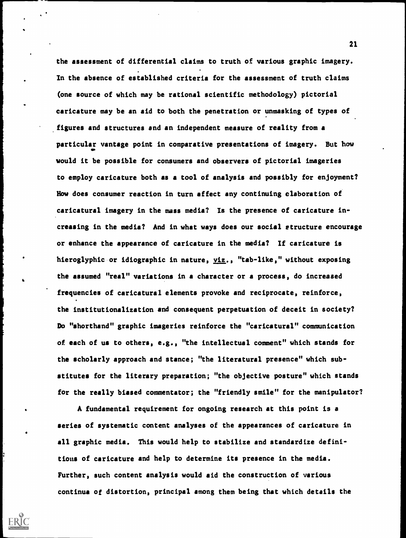the assessment of differential claims to truth of various graphic imagery. In the absence of established criteria for the assessment of truth claims (one source of which may be rational scientific methodology) pictorial caricature may be an aid to both the penetration or unmasking of types of figures and structures and an independent measure of reality from a particular vantage point in comparative presentations of imagery. But how would it be possible for consumers and observers of pictorial imageries to employ caricature both as a tool of analysis and possibly for enjoyment? How does consumer reaction in turn affect any continuing elaboration of caricatural imagery in the mass media? Is the presence of caricature increasing in the media? And in what ways does our social structure encourage or enhance the appearance of caricature in the media? If caricature is hieroglyphic or idiographic in nature, viz., "tab-like," without exposing the assumed "real" variations in a character or a process, do increased frequencies of caricatural elements provoke and reciprocate, reinforce, the institutionalization and consequent perpetuation of deceit in society? Do "shorthand" graphic imageries reinforce the "caricatural" communication of each of us to others, e.g., "the intellectual comment" which stands for the scholarly approach and stance; "the literatural presence" which substitutes for the literary preparation; "the objective posture" which stands for the really biased commentator; the "friendly smile" for the manipulator?

A fundamental requirement for ongoing research at this point is a series of systematic content analyses of the appearances of caricature in all graphic media. This would help to stabilize and standardize definitions of caricature and help to determine its presence in the media. Further, such content analysis would aid the construction of various continua of distortion, principal among them being that which details the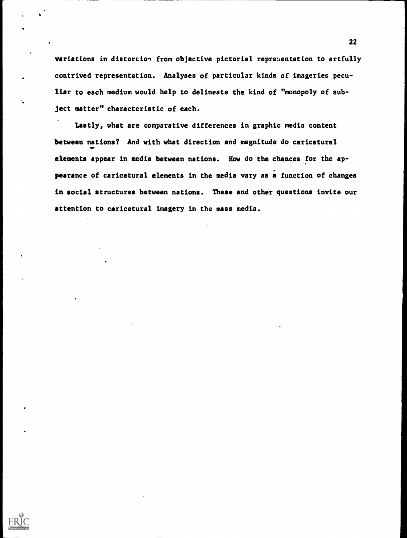variations in distortion from objective pictorial representation to artfully contrived representation. Analyses of particular kinds of imageries peculiar to each medium would help to delineate the kind of "monopoly of subject matter" characteristic of each.

Lastly, what are comparative differences in graphic media content between nations? And with what direction and magnitude do caricatural **O**DO DI elements appear in media between nations. How do the chances for the appearance of caricatural elements in the media vary as a function of changes in social structures between nations. These and other questions invite our attention to caricatural imagery in the mass media.



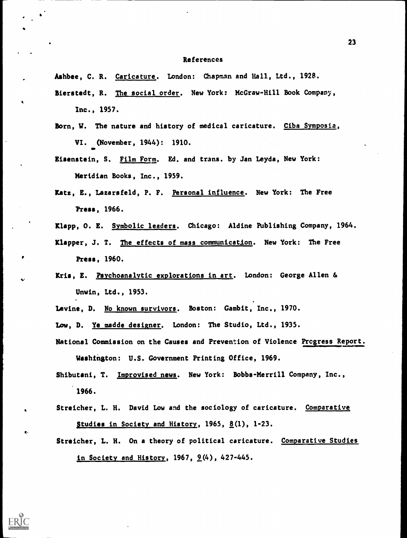#### References

Ashbee, C. R. Caricature. London: Chapman and Hall, Ltd., 1928.

- Bierstedt, R. The social order. New York: McGraw-Hill Book Company, Inc., 1957.
- Born, W. The nature and history of medical caricature. Ciba Symposia, VI. (November, 1944): 1910.
- Eisenstein, S. Film Form. Ed. and trans. by Jan Leyda, New York: Meridian Books, Inc., 1959.
- Katz, E., Lazarsfeld, P. F. Personal influence. New York: The Free Press, 1966.
- Klapp, O. E. Symbolic leaders. Chicago: Aldine Publishing Company, 1964.
- Klapper, J. T. The effects of mass communication. New York: The Free Press, 1960.
- Kris, E. Psychoanalytic explorations in art. London: George Allen & Unwin, Ltd., 1953.
- Levine, D. No known survivors. Boston: Gambit, Inc., 1970.
- Low, D. Ye madde designer. London: The Studio, Ltd., 1935.

 $\mathbf{c}$ 

- National Commission on the Causes and Prevention of Violence Progress Report. Washington: U.S. Government Printing Office, 1969.
- Shibutani, T. Improvised news. New York: Bobbs-Merrill Company, Inc., 1966.
- Streicher, L. H. David Low and the sociology of caricature. Comparative Studies in Society and History, 1965,  $\underline{8}(1)$ , 1-23.
- Streicher, L. H. On a theory of political caricature. Comparative Studies in Society and History, 1967,  $9(4)$ , 427-445.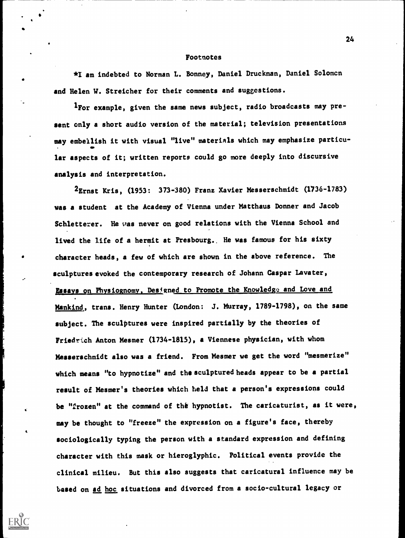#### Footnotes

\*1 am indebted to Norman L. Bonney, Daniel Druckman, Daniel Solomcn and Helen W. Streicher for their comments and suggestions.

1For example, given the same news subject, radio broadcasts may present only a short audio version of the material; television presentations may embellish it with visual "live" materials which may emphasize particular aspects of it; written reports could go more deeply into discursive analysis and interpretation.

2Ernst Kris, (1953: 373-380) Franz Xavier Messerschmidt (1736-1783) was a student at the Academy of Vienna under Matthaus Donner and Jacob Schletterer. He was never on good relations with the Vienna School and lived the life of a hermit at Presbourg.. He was famous for his sixty character heads, a few of which are shown in the above reference. The sculptures evoked the contemporary research of Johann Caspar Lavater, Essays on Physiognomy, Designed to Promote the Knowledge and Love and Mankind, trans. Henry Hunter (London: J. Murray, 1789-1798), on the same subject. The sculptures were inspired partially by the theories of Friedrich Anton Mesmer (1734-1815), a Viennese physician, with whom Messerschmidt also was a friend. From Mesmer we get the word "mesmerize" which means "to hypnotize" and the sculptured heads appear to be a partial result of Mesmer's theories which held that a person's expressions could be "frozen" at the command of the hypnotist. The caricaturist, as it were, may be thought to "freeze" the expression on a figure's face, thereby sociologically typing the person with a standard expression and defining character with this mask or hieroglyphic. Political events provide the clinical milieu. But this also suggests that caricatural influence may be based on ad hoc situations and divorced from a socio-cultural legacy or